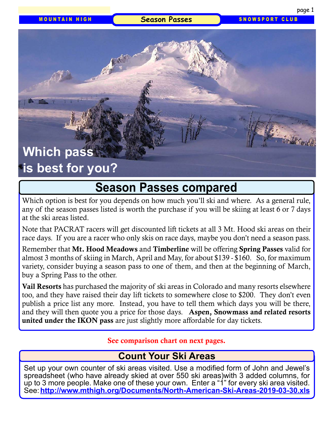#### Season Passes SNOWSPORT CLUB

# **Which pass is best for you?**

# **Season Passes compared**

Which option is best for you depends on how much you'll ski and where. As a general rule, any of the season passes listed is worth the purchase if you will be skiing at least 6 or 7 days at the ski areas listed.

Note that PACRAT racers will get discounted lift tickets at all 3 Mt. Hood ski areas on their race days. If you are a racer who only skis on race days, maybe you don't need a season pass.

Remember that Mt. Hood Meadows and Timberline will be offering Spring Passes valid for almost 3 months of skiing in March, April and May, for about \$139 - \$160. So, for maximum variety, consider buying a season pass to one of them, and then at the beginning of March, buy a Spring Pass to the other.

Vail Resorts has purchased the majority of ski areas in Colorado and many resorts elsewhere too, and they have raised their day lift tickets to somewhere close to \$200. They don't even publish a price list any more. Instead, you have to tell them which days you will be there, and they will then quote you a price for those days. Aspen, Snowmass and related resorts united under the IKON pass are just slightly more affordable for day tickets.

See comparison chart on next pages.

## **Count Your Ski Areas**

Set up your own counter of ski areas visited. Use a modified form of John and Jewel's spreadsheet (who have already skied at over 550 ski areas)with 3 added columns, for up to 3 more people. Make one of these your own. Enter a "1" for every ski area visited. See: **<http://www.mthigh.org/Documents/North-American-Ski-Areas-2019-03-30.xls>**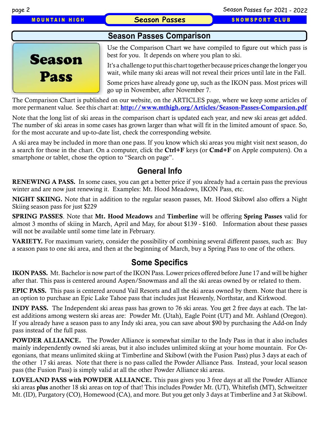**MOUNTAIN HIGH 6 Season Passes SNOWSPORT CLUB** 

#### **Season Passes Comparison**



Use the Comparison Chart we have compiled to figure out which pass is best for you. It depends on where you plan to ski.

It's a challenge to put this chart together because prices change the longer you wait, while many ski areas will not reveal their prices until late in the Fall.

Some prices have already gone up, such as the IKON pass. Most prices will go up in November, after November 7.

The Comparison Chart is published on our website, on the ARTICLES page, where we keep some articles of more permanent value. See this chart at: <http://www.mthigh.org/Articles/Season-Passes-Comparsion.pdf>

Note that the long list of ski areas in the comparison chart is updated each year, and new ski areas get added. The number of ski areas in some cases has grown larger than what will fit in the limited amount of space. So, for the most accurate and up-to-date list, check the corresponding website.

A ski area may be included in more than one pass. If you know which ski areas you might visit next season, do a search for those in the chart. On a computer, click the Ctrl+F keys (or Cmd+F on Apple computers). On a smartphone or tablet, chose the option to "Search on page".

### **General Info**

RENEWING A PASS. In some cases, you can get a better price if you already had a certain pass the previous winter and are now just renewing it. Examples: Mt. Hood Meadows, IKON Pass, etc.

NIGHT SKIING. Note that in addition to the regular season passes, Mt. Hood Skibowl also offers a Night Skiing season pass for just \$229

SPRING PASSES. Note that Mt. Hood Meadows and Timberline will be offering Spring Passes valid for almost 3 months of skiing in March, April and May, for about \$139 - \$160. Information about these passes will not be available until some time late in February.

VARIETY. For maximum variety, consider the possibility of combining several different passes, such as: Buy a season pass to one ski area, and then at the beginning of March, buy a Spring Pass to one of the others.

## **Some Specifics**

IKON PASS. Mt. Bachelor is now part of the IKON Pass. Lower prices offered before June 17 and will be higher after that. This pass is centered around Aspen/Snowmass and all the ski areas owned by or related to them.

EPIC PASS. This pass is centered around Vail Resorts and all the ski areas owned by them. Note that there is an option to purchase an Epic Lake Tahoe pass that includes just Heavenly, Northstar, and Kirkwood.

INDY PASS. The Independent ski areas pass has grown to 76 ski areas. You get 2 free days at each. The latest additions among western ski areas are: Powder Mt. (Utah), Eagle Point (UT) and Mt. Ashland (Oregon). If you already have a season pass to any Indy ski area, you can save about \$90 by purchasing the Add-on Indy pass instead of the full pass.

**POWDER ALLIANCE.** The Powder Alliance is somewhat similar to the Indy Pass in that it also includes mainly independently owned ski areas, but it also includes unlimited skiing at your home mountain. For Oregonians, that means unlimited skiing at Timberline and Skibowl (with the Fusion Pass) plus 3 days at each of the other 17 ski areas. Note that there is no pass called the Powder Alliance Pass. Instead, your local season pass (the Fusion Pass) is simply valid at all the other Powder Alliance ski areas.

LOVELAND PASS with POWDER ALLIANCE. This pass gives you 3 free days at all the Powder Alliance ski areas plus another 18 ski areas on top of that! This includes Powder Mt. (UT), Whitefish (MT), Schweitzer Mt. (ID), Purgatory (CO), Homewood (CA), and more. But you get only 3 days at Timberline and 3 at Skibowl.